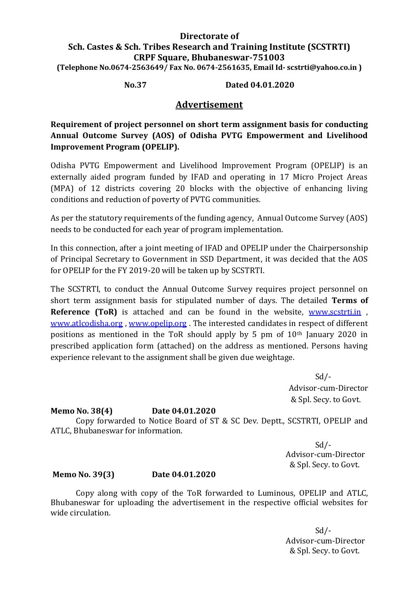# **Directorate of Sch. Castes & Sch. Tribes Research and Training Institute (SCSTRTI) CRPF Square, Bhubaneswar-751003 (Telephone No.0674-2563649/ Fax No. 0674-2561635, Email Id- scstrti@yahoo.co.in )**

**No.37 Dated 04.01.2020**

# **Advertisement**

**Requirement of project personnel on short term assignment basis for conducting Annual Outcome Survey (AOS) of Odisha PVTG Empowerment and Livelihood Improvement Program (OPELIP).**

Odisha PVTG Empowerment and Livelihood Improvement Program (OPELIP) is an externally aided program funded by IFAD and operating in 17 Micro Project Areas (MPA) of 12 districts covering 20 blocks with the objective of enhancing living conditions and reduction of poverty of PVTG communities.

As per the statutory requirements of the funding agency, Annual Outcome Survey (AOS) needs to be conducted for each year of program implementation.

In this connection, after a joint meeting of IFAD and OPELIP under the Chairpersonship of Principal Secretary to Government in SSD Department, it was decided that the AOS for OPELIP for the FY 2019-20 will be taken up by SCSTRTI.

The SCSTRTI, to conduct the Annual Outcome Survey requires project personnel on short term assignment basis for stipulated number of days. The detailed **Terms of Reference (ToR)** is attached and can be found in the website, [www.scstrti.in](http://www.scstrti.in/), [www.atlcodisha.org](http://www.atlcodisha.org/) , [www.opelip.org](http://www.opelip.org/) . The interested candidates in respect of different positions as mentioned in the ToR should apply by 5 pm of 10th January 2020 in prescribed application form (attached) on the address as mentioned. Persons having experience relevant to the assignment shall be given due weightage.

> Sd/- Advisor-cum-Director & Spl. Secy. to Govt.

## **Memo No. 38(4) Date 04.01.2020**

Copy forwarded to Notice Board of ST & SC Dev. Deptt., SCSTRTI, OPELIP and ATLC, Bhubaneswar for information.

> $Sd$  /- Advisor-cum-Director & Spl. Secy. to Govt.

## **Memo No. 39(3) Date 04.01.2020**

Copy along with copy of the ToR forwarded to Luminous, OPELIP and ATLC, Bhubaneswar for uploading the advertisement in the respective official websites for wide circulation.

> $Sd$  /- Advisor-cum-Director & Spl. Secy. to Govt.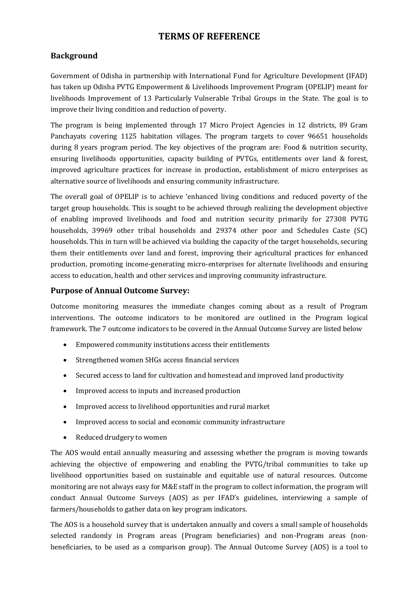# **TERMS OF REFERENCE**

# **Background**

Government of Odisha in partnership with International Fund for Agriculture Development (IFAD) has taken up Odisha PVTG Empowerment & Livelihoods Improvement Program (OPELIP) meant for livelihoods Improvement of 13 Particularly Vulnerable Tribal Groups in the State. The goal is to improve their living condition and reduction of poverty.

The program is being implemented through 17 Micro Project Agencies in 12 districts, 89 Gram Panchayats covering 1125 habitation villages. The program targets to cover 96651 households during 8 years program period. The key objectives of the program are: Food & nutrition security, ensuring livelihoods opportunities, capacity building of PVTGs, entitlements over land & forest, improved agriculture practices for increase in production, establishment of micro enterprises as alternative source of livelihoods and ensuring community infrastructure.

The overall goal of OPELIP is to achieve 'enhanced living conditions and reduced poverty of the target group households. This is sought to be achieved through realizing the development objective of enabling improved livelihoods and food and nutrition security primarily for 27308 PVTG households, 39969 other tribal households and 29374 other poor and Schedules Caste (SC) households. This in turn will be achieved via building the capacity of the target households, securing them their entitlements over land and forest, improving their agricultural practices for enhanced production, promoting income-generating micro-enterprises for alternate livelihoods and ensuring access to education, health and other services and improving community infrastructure.

## **Purpose of Annual Outcome Survey:**

Outcome monitoring measures the immediate changes coming about as a result of Program interventions. The outcome indicators to be monitored are outlined in the Program logical framework. The 7 outcome indicators to be covered in the Annual Outcome Survey are listed below

- Empowered community institutions access their entitlements
- Strengthened women SHGs access financial services
- Secured access to land for cultivation and homestead and improved land productivity
- Improved access to inputs and increased production
- Improved access to livelihood opportunities and rural market
- Improved access to social and economic community infrastructure
- Reduced drudgery to women

The AOS would entail annually measuring and assessing whether the program is moving towards achieving the objective of empowering and enabling the PVTG/tribal communities to take up livelihood opportunities based on sustainable and equitable use of natural resources. Outcome monitoring are not always easy for M&E staff in the program to collect information, the program will conduct Annual Outcome Surveys (AOS) as per IFAD's guidelines, interviewing a sample of farmers/households to gather data on key program indicators.

The AOS is a household survey that is undertaken annually and covers a small sample of households selected randomly in Program areas (Program beneficiaries) and non-Program areas (nonbeneficiaries, to be used as a comparison group). The Annual Outcome Survey (AOS) is a tool to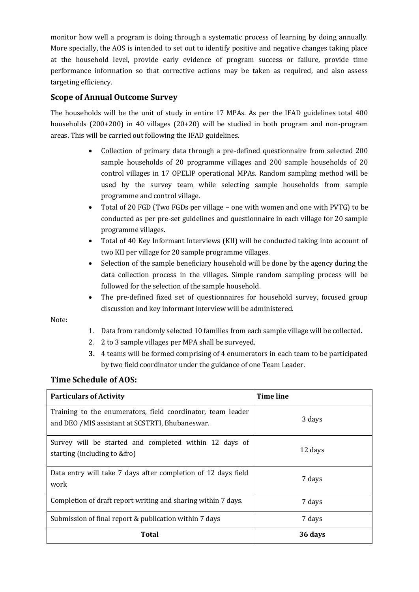monitor how well a program is doing through a systematic process of learning by doing annually. More specially, the AOS is intended to set out to identify positive and negative changes taking place at the household level, provide early evidence of program success or failure, provide time performance information so that corrective actions may be taken as required, and also assess targeting efficiency.

# **Scope of Annual Outcome Survey**

The households will be the unit of study in entire 17 MPAs. As per the IFAD guidelines total 400 households (200+200) in 40 villages (20+20) will be studied in both program and non-program areas. This will be carried out following the IFAD guidelines.

- Collection of primary data through a pre-defined questionnaire from selected 200 sample households of 20 programme villages and 200 sample households of 20 control villages in 17 OPELIP operational MPAs. Random sampling method will be used by the survey team while selecting sample households from sample programme and control village.
- Total of 20 FGD (Two FGDs per village one with women and one with PVTG) to be conducted as per pre-set guidelines and questionnaire in each village for 20 sample programme villages.
- Total of 40 Key Informant Interviews (KII) will be conducted taking into account of two KII per village for 20 sample programme villages.
- Selection of the sample beneficiary household will be done by the agency during the data collection process in the villages. Simple random sampling process will be followed for the selection of the sample household.
- The pre-defined fixed set of questionnaires for household survey, focused group discussion and key informant interview will be administered.

Note:

- 1. Data from randomly selected 10 families from each sample village will be collected.
- 2. 2 to 3 sample villages per MPA shall be surveyed.
- **3.** 4 teams will be formed comprising of 4 enumerators in each team to be participated by two field coordinator under the guidance of one Team Leader.

## **Time Schedule of AOS:**

| <b>Particulars of Activity</b>                                                                                 | <b>Time line</b> |
|----------------------------------------------------------------------------------------------------------------|------------------|
| Training to the enumerators, field coordinator, team leader<br>and DEO /MIS assistant at SCSTRTI, Bhubaneswar. | 3 days           |
| Survey will be started and completed within 12 days of<br>starting (including to &fro)                         | 12 days          |
| Data entry will take 7 days after completion of 12 days field<br>work                                          | 7 days           |
| Completion of draft report writing and sharing within 7 days.                                                  | 7 days           |
| Submission of final report & publication within 7 days                                                         | 7 days           |
| Total                                                                                                          | 36 days          |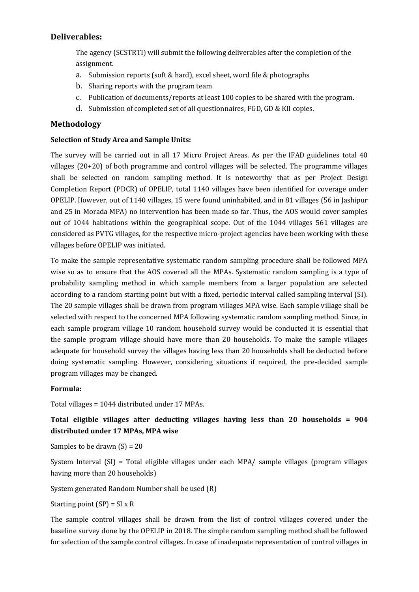## **Deliverables:**

The agency (SCSTRTI) will submit the following deliverables after the completion of the assignment.

- a. Submission reports (soft & hard), excel sheet, word file & photographs
- b. Sharing reports with the program team
- c. Publication of documents/reports at least 100 copies to be shared with the program.
- d. Submission of completed set of all questionnaires, FGD, GD & KII copies.

## **Methodology**

#### **Selection of Study Area and Sample Units:**

The survey will be carried out in all 17 Micro Project Areas. As per the IFAD guidelines total 40 villages (20+20) of both programme and control villages will be selected. The programme villages shall be selected on random sampling method. It is noteworthy that as per Project Design Completion Report (PDCR) of OPELIP, total 1140 villages have been identified for coverage under OPELIP. However, out of 1140 villages, 15 were found uninhabited, and in 81 villages (56 in Jashipur and 25 in Morada MPA) no intervention has been made so far. Thus, the AOS would cover samples out of 1044 habitations within the geographical scope. Out of the 1044 villages 561 villages are considered as PVTG villages, for the respective micro-project agencies have been working with these villages before OPELIP was initiated.

To make the sample representative systematic random sampling procedure shall be followed MPA wise so as to ensure that the AOS covered all the MPAs. Systematic random sampling is a type of probability sampling method in which sample members from a larger population are selected according to a random starting point but with a fixed, periodic interval called sampling interval (SI). The 20 sample villages shall be drawn from program villages MPA wise. Each sample village shall be selected with respect to the concerned MPA following systematic random sampling method. Since, in each sample program village 10 random household survey would be conducted it is essential that the sample program village should have more than 20 households. To make the sample villages adequate for household survey the villages having less than 20 households shall be deducted before doing systematic sampling. However, considering situations if required, the pre-decided sample program villages may be changed.

### **Formula:**

Total villages = 1044 distributed under 17 MPAs.

# **Total eligible villages after deducting villages having less than 20 households = 904 distributed under 17 MPAs, MPA wise**

Samples to be drawn  $(S) = 20$ 

System Interval (SI) = Total eligible villages under each MPA/ sample villages (program villages having more than 20 households)

System generated Random Number shall be used (R)

Starting point  $(SP) = SI \times R$ 

The sample control villages shall be drawn from the list of control villages covered under the baseline survey done by the OPELIP in 2018. The simple random sampling method shall be followed for selection of the sample control villages. In case of inadequate representation of control villages in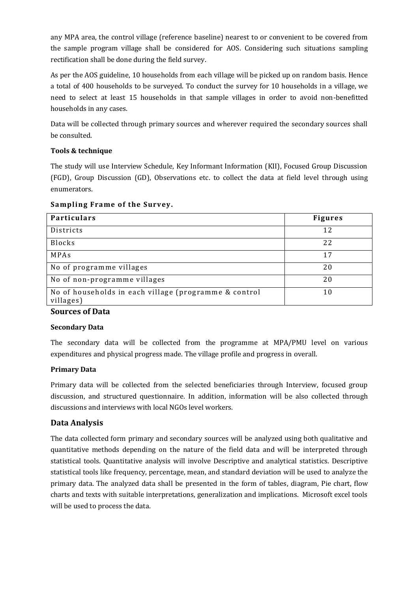any MPA area, the control village (reference baseline) nearest to or convenient to be covered from the sample program village shall be considered for AOS. Considering such situations sampling rectification shall be done during the field survey.

As per the AOS guideline, 10 households from each village will be picked up on random basis. Hence a total of 400 households to be surveyed. To conduct the survey for 10 households in a village, we need to select at least 15 households in that sample villages in order to avoid non-benefitted households in any cases.

Data will be collected through primary sources and wherever required the secondary sources shall be consulted.

## **Tools & technique**

The study will use Interview Schedule, Key Informant Information (KII), Focused Group Discussion (FGD), Group Discussion (GD), Observations etc. to collect the data at field level through using enumerators.

| <b>Particulars</b>                                                 | <b>Figures</b> |
|--------------------------------------------------------------------|----------------|
| Districts                                                          | 12             |
| <b>Blocks</b>                                                      | 22             |
| MPAs                                                               | 17             |
| No of programme villages                                           | 20             |
| No of non-programme villages                                       | 20             |
| No of households in each village (programme & control<br>villages) | 10             |

#### **Sampling Frame of the Survey.**

### **Sources of Data**

### **Secondary Data**

The secondary data will be collected from the programme at MPA/PMU level on various expenditures and physical progress made. The village profile and progress in overall.

### **Primary Data**

Primary data will be collected from the selected beneficiaries through Interview, focused group discussion, and structured questionnaire. In addition, information will be also collected through discussions and interviews with local NGOs level workers.

### **Data Analysis**

The data collected form primary and secondary sources will be analyzed using both qualitative and quantitative methods depending on the nature of the field data and will be interpreted through statistical tools. Quantitative analysis will involve Descriptive and analytical statistics. Descriptive statistical tools like frequency, percentage, mean, and standard deviation will be used to analyze the primary data. The analyzed data shall be presented in the form of tables, diagram, Pie chart, flow charts and texts with suitable interpretations, generalization and implications. Microsoft excel tools will be used to process the data.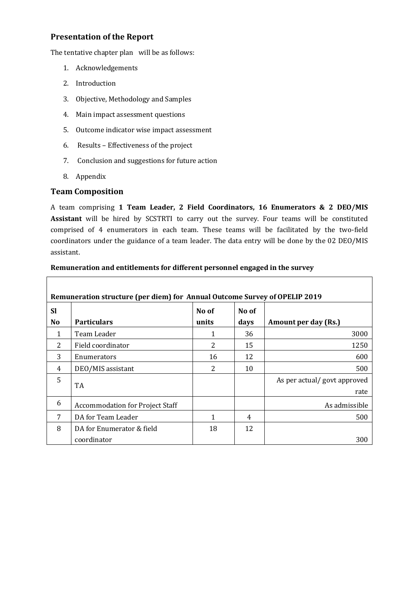## **Presentation of the Report**

The tentative chapter plan will be as follows:

- 1. Acknowledgements
- 2. Introduction
- 3. Objective, Methodology and Samples
- 4. Main impact assessment questions
- 5. Outcome indicator wise impact assessment
- 6. Results Effectiveness of the project
- 7. Conclusion and suggestions for future action
- 8. Appendix

### **Team Composition**

A team comprising **1 Team Leader, 2 Field Coordinators, 16 Enumerators & 2 DEO/MIS Assistant** will be hired by SCSTRTI to carry out the survey. Four teams will be constituted comprised of 4 enumerators in each team. These teams will be facilitated by the two-field coordinators under the guidance of a team leader. The data entry will be done by the 02 DEO/MIS assistant.

| Remuneration structure (per diem) for Annual Outcome Survey of OPELIP 2019 |                                        |       |       |                             |  |  |  |
|----------------------------------------------------------------------------|----------------------------------------|-------|-------|-----------------------------|--|--|--|
| <b>Sl</b>                                                                  |                                        | No of | No of |                             |  |  |  |
| N <sub>0</sub>                                                             | <b>Particulars</b>                     | units | days  | Amount per day (Rs.)        |  |  |  |
| 1                                                                          | Team Leader                            | 1     | 36    | 3000                        |  |  |  |
| 2                                                                          | Field coordinator                      | 2     | 15    | 1250                        |  |  |  |
| 3                                                                          | Enumerators                            | 16    | 12    | 600                         |  |  |  |
| 4                                                                          | DEO/MIS assistant                      | 2     | 10    | 500                         |  |  |  |
| 5                                                                          | TA                                     |       |       | As per actual/govt approved |  |  |  |
|                                                                            |                                        |       |       | rate                        |  |  |  |
| 6                                                                          | <b>Accommodation for Project Staff</b> |       |       | As admissible               |  |  |  |
|                                                                            | DA for Team Leader                     | 1     | 4     | 500                         |  |  |  |
| 8                                                                          | DA for Enumerator & field              | 18    | 12    |                             |  |  |  |
|                                                                            | coordinator                            |       |       | 300                         |  |  |  |

#### **Remuneration and entitlements for different personnel engaged in the survey**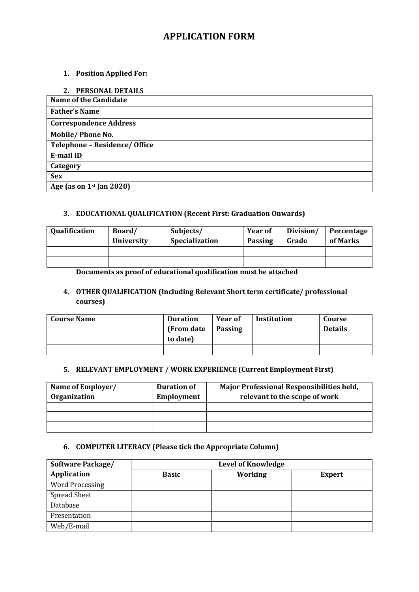# **APPLICATION FORM**

### **1. Position Applied For:**

| 2. PERSONAL DETAILS                  |  |
|--------------------------------------|--|
| <b>Name of the Candidate</b>         |  |
| <b>Father's Name</b>                 |  |
| <b>Correspondence Address</b>        |  |
| Mobile/Phone No.                     |  |
| <b>Telephone - Residence/ Office</b> |  |
| E-mail ID                            |  |
| Category                             |  |
| <b>Sex</b>                           |  |
| Age (as on $1st$ Jan 2020)           |  |

### **3. EDUCATIONAL QUALIFICATION (Recent First: Graduation Onwards)**

| Qualification | Board/<br><b>University</b> | Subjects/<br>Specialization | <b>Year of</b><br>Division/<br><b>Passing</b><br>Grade |  | Percentage<br>of Marks |  |
|---------------|-----------------------------|-----------------------------|--------------------------------------------------------|--|------------------------|--|
|               |                             |                             |                                                        |  |                        |  |
|               |                             |                             |                                                        |  |                        |  |

**Documents as proof of educational qualification must be attached**

## **4. OTHER QUALIFICATION (Including Relevant Short term certificate/ professional courses)**

| <b>Course Name</b> | <b>Duration</b><br>(From date<br>to date) | <b>Year of</b><br><b>Passing</b> | <b>Institution</b> | Course<br><b>Details</b> |
|--------------------|-------------------------------------------|----------------------------------|--------------------|--------------------------|
|                    |                                           |                                  |                    |                          |

#### **5. RELEVANT EMPLOYMENT / WORK EXPERIENCE (Current Employment First)**

| Name of Employer/<br>Organization | <b>Duration of</b><br><b>Employment</b> | Major Professional Responsibilities held,<br>relevant to the scope of work |
|-----------------------------------|-----------------------------------------|----------------------------------------------------------------------------|
|                                   |                                         |                                                                            |
|                                   |                                         |                                                                            |
|                                   |                                         |                                                                            |

### **6. COMPUTER LITERACY (Please tick the Appropriate Column)**

| <b>Software Package/</b> | <b>Level of Knowledge</b>                       |  |  |  |  |  |
|--------------------------|-------------------------------------------------|--|--|--|--|--|
| Application              | <b>Working</b><br><b>Basic</b><br><b>Expert</b> |  |  |  |  |  |
| <b>Word Processing</b>   |                                                 |  |  |  |  |  |
| <b>Spread Sheet</b>      |                                                 |  |  |  |  |  |
| Database                 |                                                 |  |  |  |  |  |
| Presentation             |                                                 |  |  |  |  |  |
| Web/E-mail               |                                                 |  |  |  |  |  |